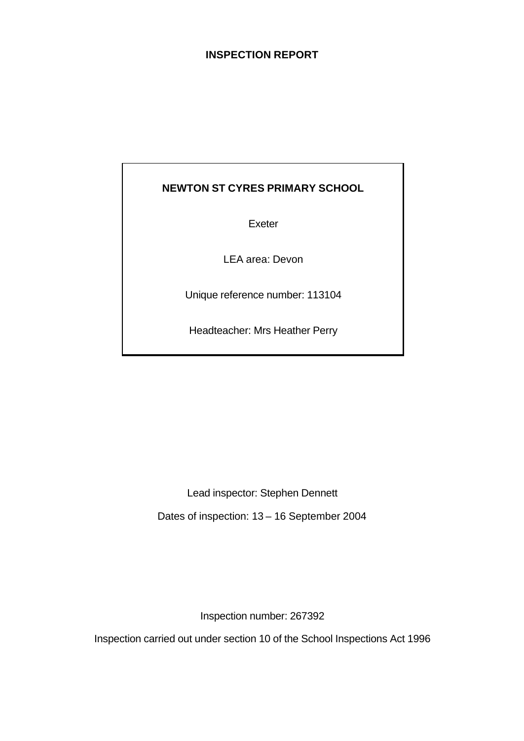## **INSPECTION REPORT**

## **NEWTON ST CYRES PRIMARY SCHOOL**

Exeter

LEA area: Devon

Unique reference number: 113104

Headteacher: Mrs Heather Perry

Lead inspector: Stephen Dennett Dates of inspection: 13 – 16 September 2004

Inspection number: 267392

Inspection carried out under section 10 of the School Inspections Act 1996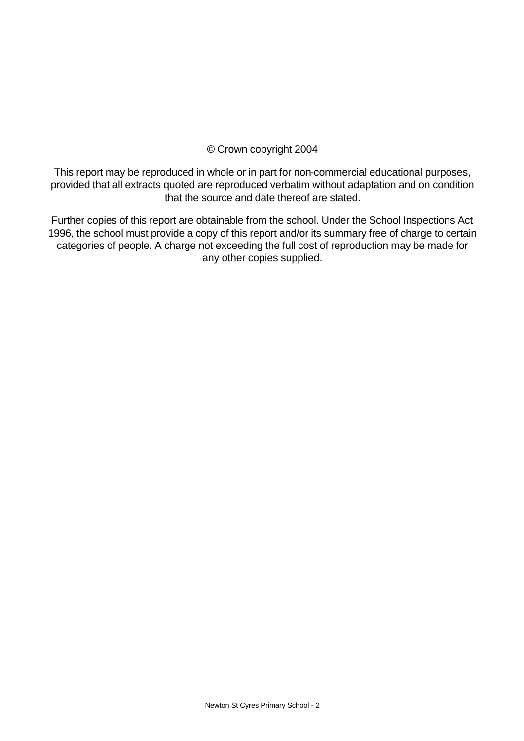## © Crown copyright 2004

This report may be reproduced in whole or in part for non-commercial educational purposes, provided that all extracts quoted are reproduced verbatim without adaptation and on condition that the source and date thereof are stated.

Further copies of this report are obtainable from the school. Under the School Inspections Act 1996, the school must provide a copy of this report and/or its summary free of charge to certain categories of people. A charge not exceeding the full cost of reproduction may be made for any other copies supplied.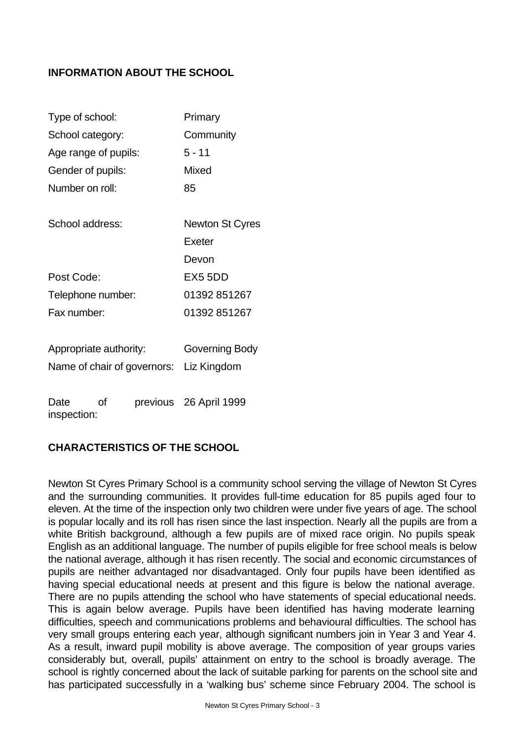## **INFORMATION ABOUT THE SCHOOL**

| Type of school:           |                             | Primary                |
|---------------------------|-----------------------------|------------------------|
| School category:          |                             | Community              |
| Age range of pupils:      |                             | $5 - 11$               |
| Gender of pupils:         |                             | Mixed                  |
| Number on roll:           |                             | 85                     |
| School address:           |                             | <b>Newton St Cyres</b> |
|                           |                             | Exeter                 |
|                           |                             | Devon                  |
| Post Code:                |                             | EX55DD                 |
| Telephone number:         |                             | 01392 851267           |
| Fax number:               |                             | 01392 851267           |
| Appropriate authority:    |                             | Governing Body         |
|                           | Name of chair of governors: | Liz Kingdom            |
| Date<br>Ωf<br>inspection: |                             | previous 26 April 1999 |

## **CHARACTERISTICS OF THE SCHOOL**

Newton St Cyres Primary School is a community school serving the village of Newton St Cyres and the surrounding communities. It provides full-time education for 85 pupils aged four to eleven. At the time of the inspection only two children were under five years of age. The school is popular locally and its roll has risen since the last inspection. Nearly all the pupils are from a white British background, although a few pupils are of mixed race origin. No pupils speak English as an additional language. The number of pupils eligible for free school meals is below the national average, although it has risen recently. The social and economic circumstances of pupils are neither advantaged nor disadvantaged. Only four pupils have been identified as having special educational needs at present and this figure is below the national average. There are no pupils attending the school who have statements of special educational needs. This is again below average. Pupils have been identified has having moderate learning difficulties, speech and communications problems and behavioural difficulties. The school has very small groups entering each year, although significant numbers join in Year 3 and Year 4. As a result, inward pupil mobility is above average. The composition of year groups varies considerably but, overall, pupils' attainment on entry to the school is broadly average. The school is rightly concerned about the lack of suitable parking for parents on the school site and has participated successfully in a 'walking bus' scheme since February 2004. The school is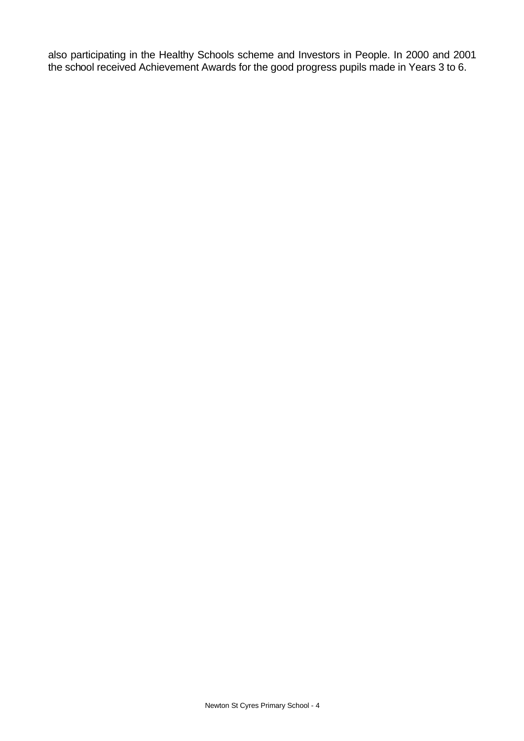also participating in the Healthy Schools scheme and Investors in People. In 2000 and 2001 the school received Achievement Awards for the good progress pupils made in Years 3 to 6.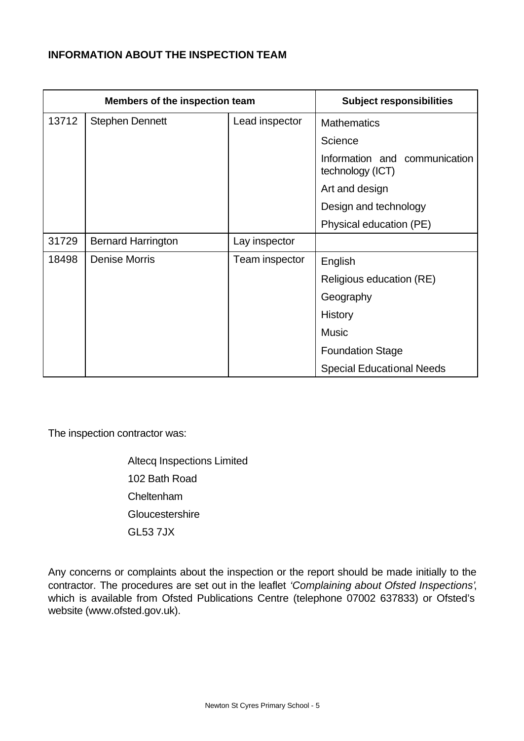## **INFORMATION ABOUT THE INSPECTION TEAM**

| Members of the inspection team |                           |                | <b>Subject responsibilities</b>                   |
|--------------------------------|---------------------------|----------------|---------------------------------------------------|
| 13712                          | <b>Stephen Dennett</b>    | Lead inspector | <b>Mathematics</b>                                |
|                                |                           |                | Science                                           |
|                                |                           |                | Information and communication<br>technology (ICT) |
|                                |                           |                | Art and design                                    |
|                                |                           |                | Design and technology                             |
|                                |                           |                | Physical education (PE)                           |
| 31729                          | <b>Bernard Harrington</b> | Lay inspector  |                                                   |
| 18498                          | <b>Denise Morris</b>      | Team inspector | English                                           |
|                                |                           |                | Religious education (RE)                          |
|                                |                           |                | Geography                                         |
|                                |                           |                | History                                           |
|                                |                           |                | <b>Music</b>                                      |
|                                |                           |                | <b>Foundation Stage</b>                           |
|                                |                           |                | <b>Special Educational Needs</b>                  |

The inspection contractor was:

Altecq Inspections Limited 102 Bath Road Cheltenham **Gloucestershire** GL53 7JX

Any concerns or complaints about the inspection or the report should be made initially to the contractor. The procedures are set out in the leaflet *'Complaining about Ofsted Inspections'*, which is available from Ofsted Publications Centre (telephone 07002 637833) or Ofsted's website (www.ofsted.gov.uk).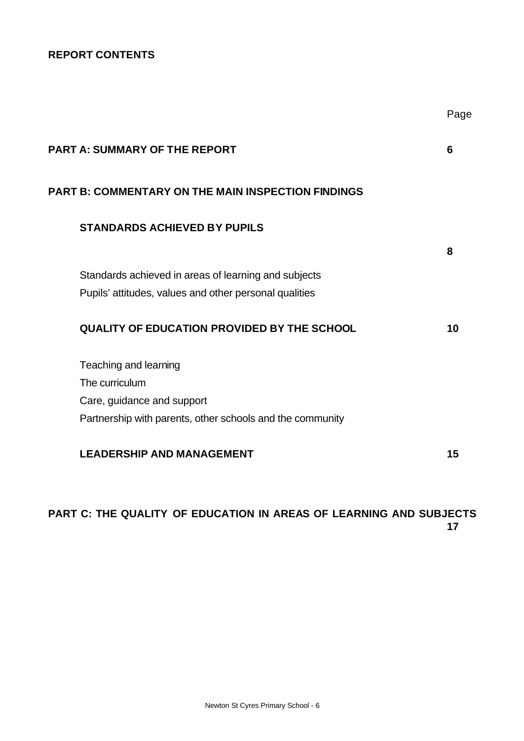## **REPORT CONTENTS**

| <b>PART A: SUMMARY OF THE REPORT</b>                      | 6  |
|-----------------------------------------------------------|----|
| <b>PART B: COMMENTARY ON THE MAIN INSPECTION FINDINGS</b> |    |
| <b>STANDARDS ACHIEVED BY PUPILS</b>                       |    |
|                                                           | 8  |
| Standards achieved in areas of learning and subjects      |    |
| Pupils' attitudes, values and other personal qualities    |    |
| <b>QUALITY OF EDUCATION PROVIDED BY THE SCHOOL</b>        | 10 |
| Teaching and learning                                     |    |
| The curriculum                                            |    |
| Care, guidance and support                                |    |
| Partnership with parents, other schools and the community |    |
| <b>LEADERSHIP AND MANAGEMENT</b>                          | 15 |

Page

## **PART C: THE QUALITY OF EDUCATION IN AREAS OF LEARNING AND SUBJECTS 17**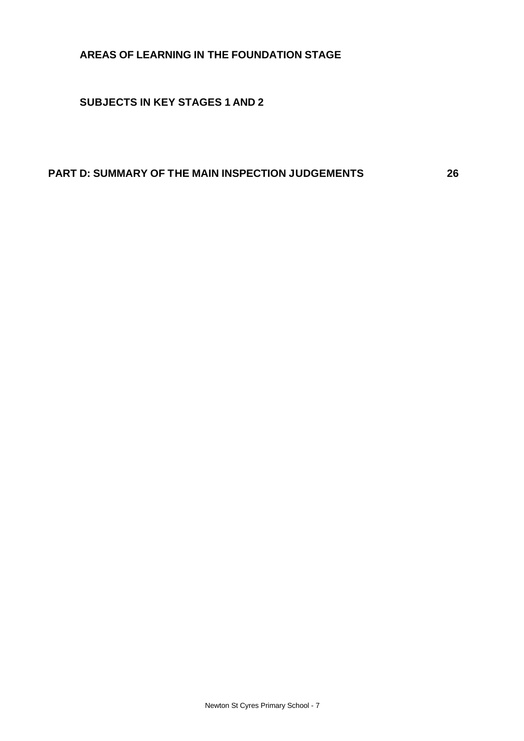## **AREAS OF LEARNING IN THE FOUNDATION STAGE**

**SUBJECTS IN KEY STAGES 1 AND 2**

## **PART D: SUMMARY OF THE MAIN INSPECTION JUDGEMENTS 26**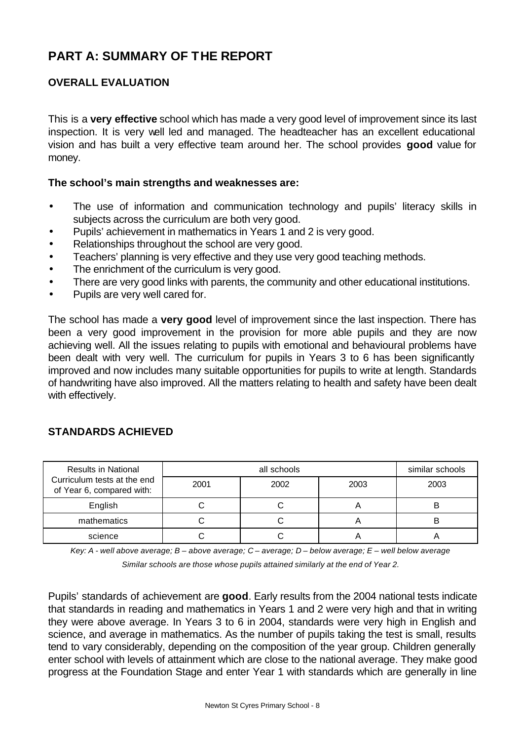# **PART A: SUMMARY OF THE REPORT**

## **OVERALL EVALUATION**

This is a **very effective** school which has made a very good level of improvement since its last inspection. It is very well led and managed. The headteacher has an excellent educational vision and has built a very effective team around her. The school provides **good** value for money.

#### **The school's main strengths and weaknesses are:**

- The use of information and communication technology and pupils' literacy skills in subjects across the curriculum are both very good.
- Pupils' achievement in mathematics in Years 1 and 2 is very good.
- Relationships throughout the school are very good.
- Teachers' planning is very effective and they use very good teaching methods.
- The enrichment of the curriculum is very good.
- There are very good links with parents, the community and other educational institutions.
- Pupils are very well cared for.

The school has made a **very good** level of improvement since the last inspection. There has been a very good improvement in the provision for more able pupils and they are now achieving well. All the issues relating to pupils with emotional and behavioural problems have been dealt with very well. The curriculum for pupils in Years 3 to 6 has been significantly improved and now includes many suitable opportunities for pupils to write at length. Standards of handwriting have also improved. All the matters relating to health and safety have been dealt with effectively.

## **STANDARDS ACHIEVED**

| <b>Results in National</b><br>Curriculum tests at the end<br>of Year 6, compared with: |      | similar schools |      |      |
|----------------------------------------------------------------------------------------|------|-----------------|------|------|
|                                                                                        | 2001 | 2002            | 2003 | 2003 |
| English                                                                                |      |                 | n    |      |
| mathematics                                                                            |      |                 |      |      |
| science                                                                                |      |                 |      |      |

*Key: A - well above average; B – above average; C – average; D – below average; E – well below average*

*Similar schools are those whose pupils attained similarly at the end of Year 2.*

Pupils' standards of achievement are **good**. Early results from the 2004 national tests indicate that standards in reading and mathematics in Years 1 and 2 were very high and that in writing they were above average. In Years 3 to 6 in 2004, standards were very high in English and science, and average in mathematics. As the number of pupils taking the test is small, results tend to vary considerably, depending on the composition of the year group. Children generally enter school with levels of attainment which are close to the national average. They make good progress at the Foundation Stage and enter Year 1 with standards which are generally in line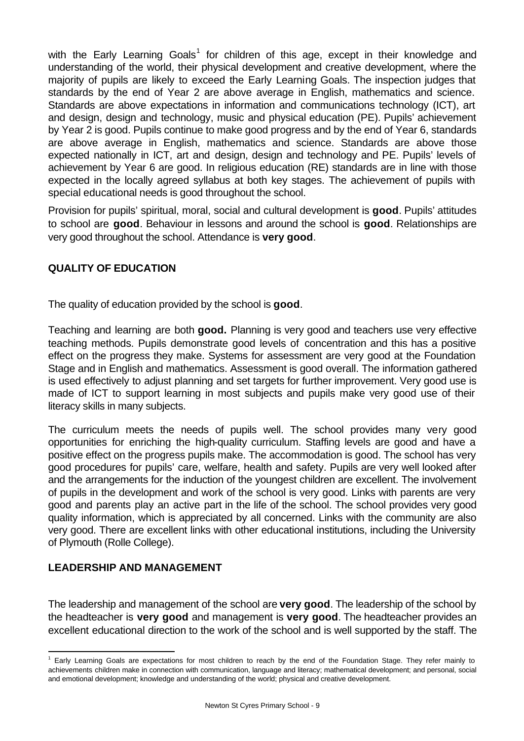with the Early Learning Goals<sup>1</sup> for children of this age, except in their knowledge and understanding of the world, their physical development and creative development, where the majority of pupils are likely to exceed the Early Learning Goals. The inspection judges that standards by the end of Year 2 are above average in English, mathematics and science. Standards are above expectations in information and communications technology (ICT), art and design, design and technology, music and physical education (PE). Pupils' achievement by Year 2 is good. Pupils continue to make good progress and by the end of Year 6, standards are above average in English, mathematics and science. Standards are above those expected nationally in ICT, art and design, design and technology and PE. Pupils' levels of achievement by Year 6 are good. In religious education (RE) standards are in line with those expected in the locally agreed syllabus at both key stages. The achievement of pupils with special educational needs is good throughout the school.

Provision for pupils' spiritual, moral, social and cultural development is **good**. Pupils' attitudes to school are **good**. Behaviour in lessons and around the school is **good**. Relationships are very good throughout the school. Attendance is **very good**.

## **QUALITY OF EDUCATION**

The quality of education provided by the school is **good**.

Teaching and learning are both **good.** Planning is very good and teachers use very effective teaching methods. Pupils demonstrate good levels of concentration and this has a positive effect on the progress they make. Systems for assessment are very good at the Foundation Stage and in English and mathematics. Assessment is good overall. The information gathered is used effectively to adjust planning and set targets for further improvement. Very good use is made of ICT to support learning in most subjects and pupils make very good use of their literacy skills in many subjects.

The curriculum meets the needs of pupils well. The school provides many very good opportunities for enriching the high-quality curriculum. Staffing levels are good and have a positive effect on the progress pupils make. The accommodation is good. The school has very good procedures for pupils' care, welfare, health and safety. Pupils are very well looked after and the arrangements for the induction of the youngest children are excellent. The involvement of pupils in the development and work of the school is very good. Links with parents are very good and parents play an active part in the life of the school. The school provides very good quality information, which is appreciated by all concerned. Links with the community are also very good. There are excellent links with other educational institutions, including the University of Plymouth (Rolle College).

## **LEADERSHIP AND MANAGEMENT**

j

The leadership and management of the school are **very good**. The leadership of the school by the headteacher is **very good** and management is **very good**. The headteacher provides an excellent educational direction to the work of the school and is well supported by the staff. The

<sup>&</sup>lt;sup>1</sup> Early Learning Goals are expectations for most children to reach by the end of the Foundation Stage. They refer mainly to achievements children make in connection with communication, language and literacy; mathematical development; and personal, social and emotional development; knowledge and understanding of the world; physical and creative development.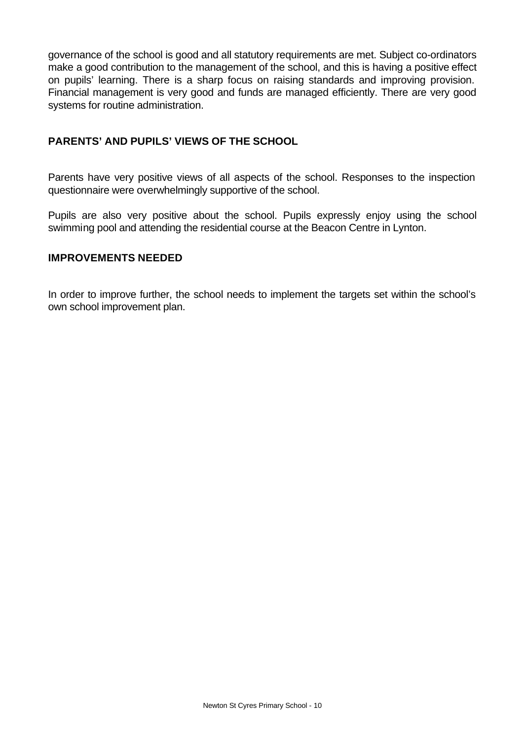governance of the school is good and all statutory requirements are met. Subject co-ordinators make a good contribution to the management of the school, and this is having a positive effect on pupils' learning. There is a sharp focus on raising standards and improving provision. Financial management is very good and funds are managed efficiently. There are very good systems for routine administration.

## **PARENTS' AND PUPILS' VIEWS OF THE SCHOOL**

Parents have very positive views of all aspects of the school. Responses to the inspection questionnaire were overwhelmingly supportive of the school.

Pupils are also very positive about the school. Pupils expressly enjoy using the school swimming pool and attending the residential course at the Beacon Centre in Lynton.

## **IMPROVEMENTS NEEDED**

In order to improve further, the school needs to implement the targets set within the school's own school improvement plan.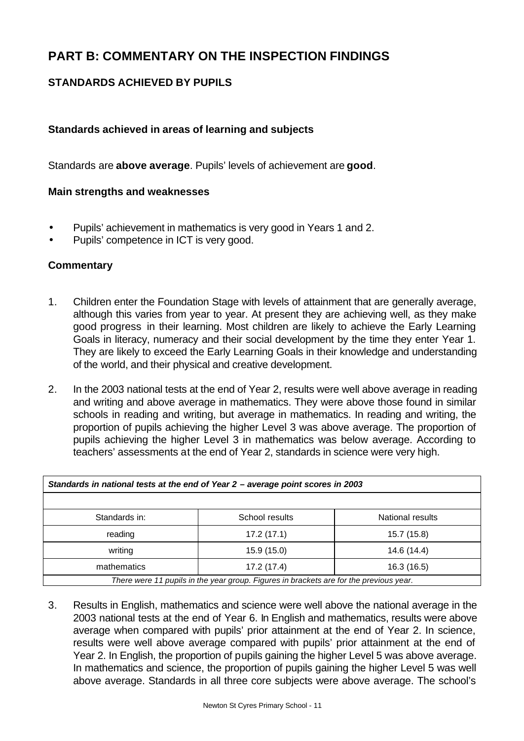# **PART B: COMMENTARY ON THE INSPECTION FINDINGS**

## **STANDARDS ACHIEVED BY PUPILS**

## **Standards achieved in areas of learning and subjects**

Standards are **above average**. Pupils' levels of achievement are **good**.

## **Main strengths and weaknesses**

- Pupils' achievement in mathematics is very good in Years 1 and 2.
- Pupils' competence in ICT is very good.

## **Commentary**

- 1. Children enter the Foundation Stage with levels of attainment that are generally average, although this varies from year to year. At present they are achieving well, as they make good progress in their learning. Most children are likely to achieve the Early Learning Goals in literacy, numeracy and their social development by the time they enter Year 1. They are likely to exceed the Early Learning Goals in their knowledge and understanding of the world, and their physical and creative development.
- 2. In the 2003 national tests at the end of Year 2, results were well above average in reading and writing and above average in mathematics. They were above those found in similar schools in reading and writing, but average in mathematics. In reading and writing, the proportion of pupils achieving the higher Level 3 was above average. The proportion of pupils achieving the higher Level 3 in mathematics was below average. According to teachers' assessments at the end of Year 2, standards in science were very high.

| Standards in national tests at the end of Year 2 - average point scores in 2003        |                |                  |  |  |  |  |
|----------------------------------------------------------------------------------------|----------------|------------------|--|--|--|--|
|                                                                                        |                |                  |  |  |  |  |
| Standards in:                                                                          | School results | National results |  |  |  |  |
| reading                                                                                | 17.2(17.1)     | 15.7 (15.8)      |  |  |  |  |
| writing                                                                                | 15.9 (15.0)    | 14.6 (14.4)      |  |  |  |  |
| mathematics                                                                            | 17.2 (17.4)    | 16.3 (16.5)      |  |  |  |  |
| There were 11 pupils in the year group. Figures in brackets are for the previous year. |                |                  |  |  |  |  |

3. Results in English, mathematics and science were well above the national average in the 2003 national tests at the end of Year 6. In English and mathematics, results were above average when compared with pupils' prior attainment at the end of Year 2. In science, results were well above average compared with pupils' prior attainment at the end of Year 2. In English, the proportion of pupils gaining the higher Level 5 was above average. In mathematics and science, the proportion of pupils gaining the higher Level 5 was well above average. Standards in all three core subjects were above average. The school's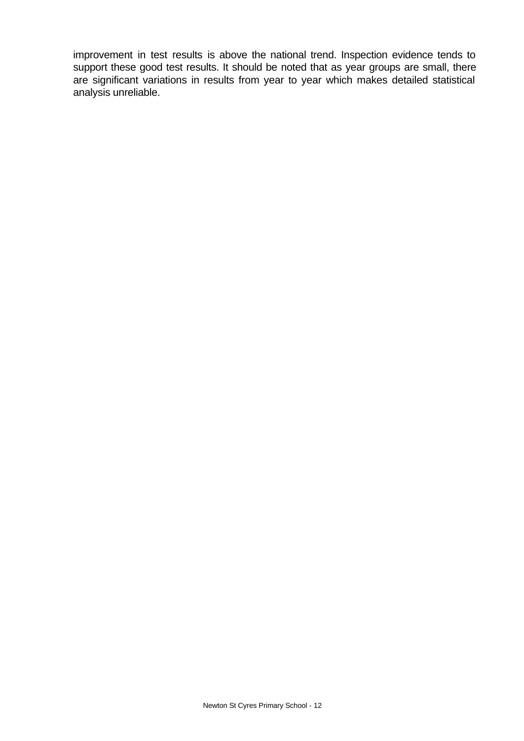improvement in test results is above the national trend. Inspection evidence tends to support these good test results. It should be noted that as year groups are small, there are significant variations in results from year to year which makes detailed statistical analysis unreliable.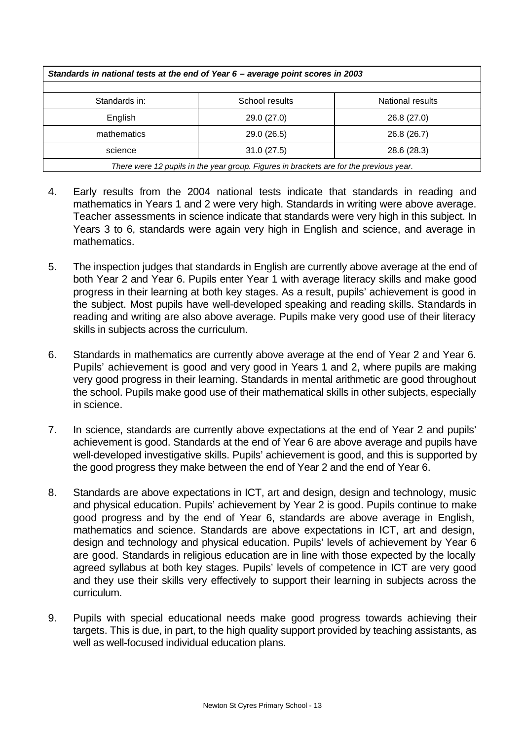| Standards in national tests at the end of Year 6 - average point scores in 2003        |                |                  |  |  |  |  |  |
|----------------------------------------------------------------------------------------|----------------|------------------|--|--|--|--|--|
|                                                                                        |                |                  |  |  |  |  |  |
| Standards in:                                                                          | School results | National results |  |  |  |  |  |
| English<br>29.0 (27.0)<br>26.8 (27.0)                                                  |                |                  |  |  |  |  |  |
| mathematics<br>29.0 (26.5)<br>26.8 (26.7)                                              |                |                  |  |  |  |  |  |
| 31.0(27.5)<br>28.6 (28.3)<br>science                                                   |                |                  |  |  |  |  |  |
| There were 12 pupils in the year group. Figures in brackets are for the previous year. |                |                  |  |  |  |  |  |

- 4. Early results from the 2004 national tests indicate that standards in reading and mathematics in Years 1 and 2 were very high. Standards in writing were above average. Teacher assessments in science indicate that standards were very high in this subject. In Years 3 to 6, standards were again very high in English and science, and average in mathematics.
- 5. The inspection judges that standards in English are currently above average at the end of both Year 2 and Year 6. Pupils enter Year 1 with average literacy skills and make good progress in their learning at both key stages. As a result, pupils' achievement is good in the subject. Most pupils have well-developed speaking and reading skills. Standards in reading and writing are also above average. Pupils make very good use of their literacy skills in subjects across the curriculum.
- 6. Standards in mathematics are currently above average at the end of Year 2 and Year 6. Pupils' achievement is good and very good in Years 1 and 2, where pupils are making very good progress in their learning. Standards in mental arithmetic are good throughout the school. Pupils make good use of their mathematical skills in other subjects, especially in science.
- 7. In science, standards are currently above expectations at the end of Year 2 and pupils' achievement is good. Standards at the end of Year 6 are above average and pupils have well-developed investigative skills. Pupils' achievement is good, and this is supported by the good progress they make between the end of Year 2 and the end of Year 6.
- 8. Standards are above expectations in ICT, art and design, design and technology, music and physical education. Pupils' achievement by Year 2 is good. Pupils continue to make good progress and by the end of Year 6, standards are above average in English, mathematics and science. Standards are above expectations in ICT, art and design, design and technology and physical education. Pupils' levels of achievement by Year 6 are good. Standards in religious education are in line with those expected by the locally agreed syllabus at both key stages. Pupils' levels of competence in ICT are very good and they use their skills very effectively to support their learning in subjects across the curriculum.
- 9. Pupils with special educational needs make good progress towards achieving their targets. This is due, in part, to the high quality support provided by teaching assistants, as well as well-focused individual education plans.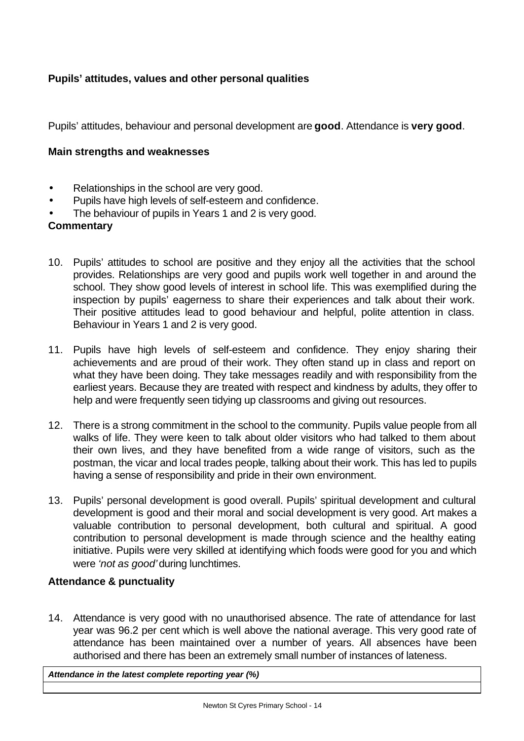## **Pupils' attitudes, values and other personal qualities**

Pupils' attitudes, behaviour and personal development are **good**. Attendance is **very good**.

## **Main strengths and weaknesses**

- Relationships in the school are very good.
- Pupils have high levels of self-esteem and confidence.
- The behaviour of pupils in Years 1 and 2 is very good.

## **Commentary**

- 10. Pupils' attitudes to school are positive and they enjoy all the activities that the school provides. Relationships are very good and pupils work well together in and around the school. They show good levels of interest in school life. This was exemplified during the inspection by pupils' eagerness to share their experiences and talk about their work. Their positive attitudes lead to good behaviour and helpful, polite attention in class. Behaviour in Years 1 and 2 is very good.
- 11. Pupils have high levels of self-esteem and confidence. They enjoy sharing their achievements and are proud of their work. They often stand up in class and report on what they have been doing. They take messages readily and with responsibility from the earliest years. Because they are treated with respect and kindness by adults, they offer to help and were frequently seen tidying up classrooms and giving out resources.
- 12. There is a strong commitment in the school to the community. Pupils value people from all walks of life. They were keen to talk about older visitors who had talked to them about their own lives, and they have benefited from a wide range of visitors, such as the postman, the vicar and local trades people, talking about their work. This has led to pupils having a sense of responsibility and pride in their own environment.
- 13. Pupils' personal development is good overall. Pupils' spiritual development and cultural development is good and their moral and social development is very good. Art makes a valuable contribution to personal development, both cultural and spiritual. A good contribution to personal development is made through science and the healthy eating initiative. Pupils were very skilled at identifying which foods were good for you and which were *'not as good'* during lunchtimes.

## **Attendance & punctuality**

14. Attendance is very good with no unauthorised absence. The rate of attendance for last year was 96.2 per cent which is well above the national average. This very good rate of attendance has been maintained over a number of years. All absences have been authorised and there has been an extremely small number of instances of lateness.

*Attendance in the latest complete reporting year (%)*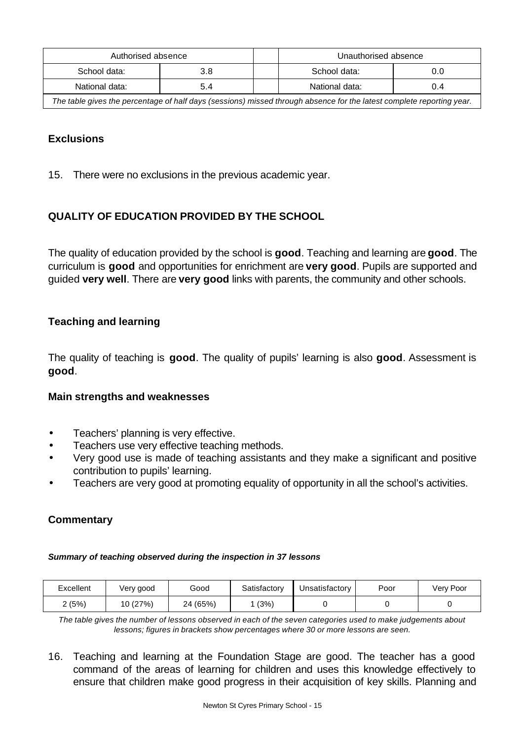| Authorised absence                                                                                                    |     |  | Unauthorised absence |     |
|-----------------------------------------------------------------------------------------------------------------------|-----|--|----------------------|-----|
| School data:                                                                                                          | 3.8 |  | School data:         | 0.0 |
| National data:                                                                                                        | 5.4 |  | National data:       | 0.4 |
| The table gives the percentage of half days (sessions) missed through absence for the latest complete reporting year. |     |  |                      |     |

## **Exclusions**

15. There were no exclusions in the previous academic year.

## **QUALITY OF EDUCATION PROVIDED BY THE SCHOOL**

The quality of education provided by the school is **good**. Teaching and learning are **good**. The curriculum is **good** and opportunities for enrichment are **very good**. Pupils are supported and guided **very well**. There are **very good** links with parents, the community and other schools.

## **Teaching and learning**

The quality of teaching is **good**. The quality of pupils' learning is also **good**. Assessment is **good**.

## **Main strengths and weaknesses**

- Teachers' planning is very effective.
- Teachers use very effective teaching methods.
- Very good use is made of teaching assistants and they make a significant and positive contribution to pupils' learning.
- Teachers are very good at promoting equality of opportunity in all the school's activities.

## **Commentary**

#### *Summary of teaching observed during the inspection in 37 lessons*

| Excellent | √ery good | Good     | Satisfactory | Unsatisfactory | Poor | Very Poor |
|-----------|-----------|----------|--------------|----------------|------|-----------|
| ∠ (5%)    | 10 (27%)  | 24 (65%) | (3%)         |                |      |           |

*The table gives the number of lessons observed in each of the seven categories used to make judgements about lessons; figures in brackets show percentages where 30 or more lessons are seen.*

16. Teaching and learning at the Foundation Stage are good. The teacher has a good command of the areas of learning for children and uses this knowledge effectively to ensure that children make good progress in their acquisition of key skills. Planning and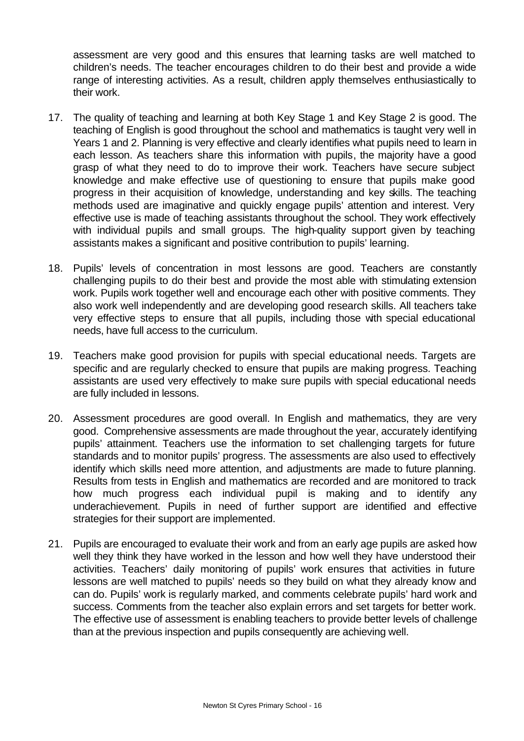assessment are very good and this ensures that learning tasks are well matched to children's needs. The teacher encourages children to do their best and provide a wide range of interesting activities. As a result, children apply themselves enthusiastically to their work.

- 17. The quality of teaching and learning at both Key Stage 1 and Key Stage 2 is good. The teaching of English is good throughout the school and mathematics is taught very well in Years 1 and 2. Planning is very effective and clearly identifies what pupils need to learn in each lesson. As teachers share this information with pupils, the majority have a good grasp of what they need to do to improve their work. Teachers have secure subject knowledge and make effective use of questioning to ensure that pupils make good progress in their acquisition of knowledge, understanding and key skills. The teaching methods used are imaginative and quickly engage pupils' attention and interest. Very effective use is made of teaching assistants throughout the school. They work effectively with individual pupils and small groups. The high-quality support given by teaching assistants makes a significant and positive contribution to pupils' learning.
- 18. Pupils' levels of concentration in most lessons are good. Teachers are constantly challenging pupils to do their best and provide the most able with stimulating extension work. Pupils work together well and encourage each other with positive comments. They also work well independently and are developing good research skills. All teachers take very effective steps to ensure that all pupils, including those with special educational needs, have full access to the curriculum.
- 19. Teachers make good provision for pupils with special educational needs. Targets are specific and are regularly checked to ensure that pupils are making progress. Teaching assistants are used very effectively to make sure pupils with special educational needs are fully included in lessons.
- 20. Assessment procedures are good overall. In English and mathematics, they are very good. Comprehensive assessments are made throughout the year, accurately identifying pupils' attainment. Teachers use the information to set challenging targets for future standards and to monitor pupils' progress. The assessments are also used to effectively identify which skills need more attention, and adjustments are made to future planning. Results from tests in English and mathematics are recorded and are monitored to track how much progress each individual pupil is making and to identify any underachievement. Pupils in need of further support are identified and effective strategies for their support are implemented.
- 21. Pupils are encouraged to evaluate their work and from an early age pupils are asked how well they think they have worked in the lesson and how well they have understood their activities. Teachers' daily monitoring of pupils' work ensures that activities in future lessons are well matched to pupils' needs so they build on what they already know and can do. Pupils' work is regularly marked, and comments celebrate pupils' hard work and success. Comments from the teacher also explain errors and set targets for better work. The effective use of assessment is enabling teachers to provide better levels of challenge than at the previous inspection and pupils consequently are achieving well.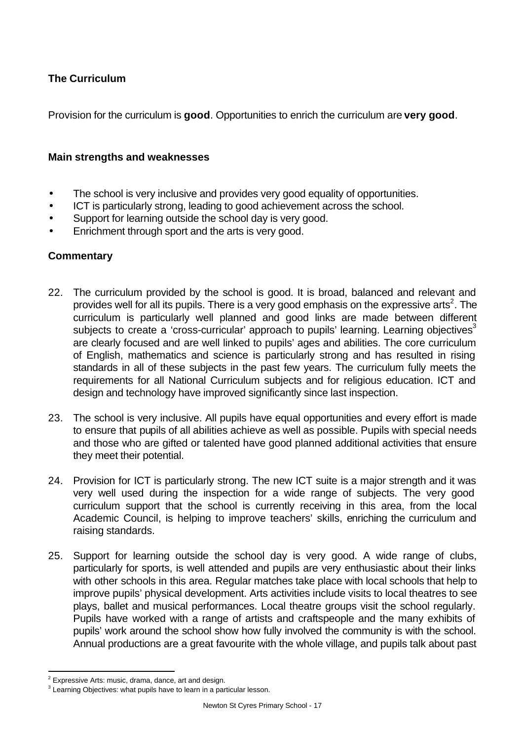## **The Curriculum**

Provision for the curriculum is **good**. Opportunities to enrich the curriculum are **very good**.

## **Main strengths and weaknesses**

- The school is very inclusive and provides very good equality of opportunities.
- ICT is particularly strong, leading to good achievement across the school.
- Support for learning outside the school day is very good.
- Enrichment through sport and the arts is very good.

## **Commentary**

- 22. The curriculum provided by the school is good. It is broad, balanced and relevant and provides well for all its pupils. There is a very good emphasis on the expressive arts<sup>2</sup>. The curriculum is particularly well planned and good links are made between different subjects to create a 'cross-curricular' approach to pupils' learning. Learning objectives<sup>3</sup> are clearly focused and are well linked to pupils' ages and abilities. The core curriculum of English, mathematics and science is particularly strong and has resulted in rising standards in all of these subjects in the past few years. The curriculum fully meets the requirements for all National Curriculum subjects and for religious education. ICT and design and technology have improved significantly since last inspection.
- 23. The school is very inclusive. All pupils have equal opportunities and every effort is made to ensure that pupils of all abilities achieve as well as possible. Pupils with special needs and those who are gifted or talented have good planned additional activities that ensure they meet their potential.
- 24. Provision for ICT is particularly strong. The new ICT suite is a major strength and it was very well used during the inspection for a wide range of subjects. The very good curriculum support that the school is currently receiving in this area, from the local Academic Council, is helping to improve teachers' skills, enriching the curriculum and raising standards.
- 25. Support for learning outside the school day is very good. A wide range of clubs, particularly for sports, is well attended and pupils are very enthusiastic about their links with other schools in this area. Regular matches take place with local schools that help to improve pupils' physical development. Arts activities include visits to local theatres to see plays, ballet and musical performances. Local theatre groups visit the school regularly. Pupils have worked with a range of artists and craftspeople and the many exhibits of pupils' work around the school show how fully involved the community is with the school. Annual productions are a great favourite with the whole village, and pupils talk about past

l  $2$  Expressive Arts: music, drama, dance, art and design.

 $3$  Learning Objectives: what pupils have to learn in a particular lesson.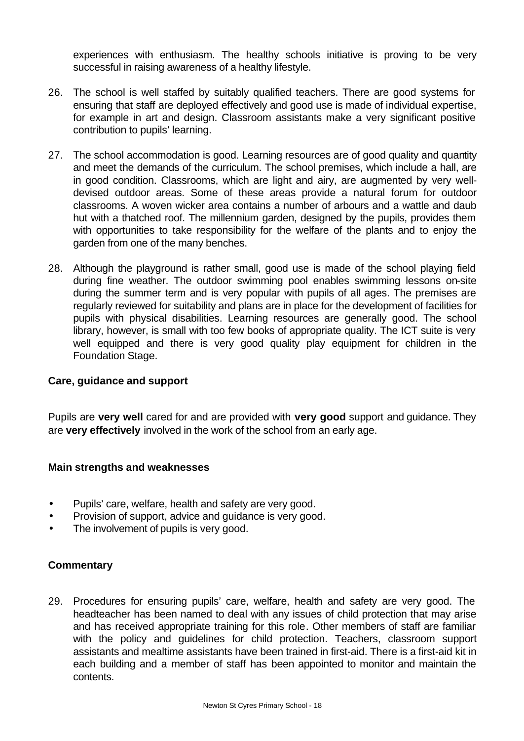experiences with enthusiasm. The healthy schools initiative is proving to be very successful in raising awareness of a healthy lifestyle.

- 26. The school is well staffed by suitably qualified teachers. There are good systems for ensuring that staff are deployed effectively and good use is made of individual expertise, for example in art and design. Classroom assistants make a very significant positive contribution to pupils' learning.
- 27. The school accommodation is good. Learning resources are of good quality and quantity and meet the demands of the curriculum. The school premises, which include a hall, are in good condition. Classrooms, which are light and airy, are augmented by very welldevised outdoor areas. Some of these areas provide a natural forum for outdoor classrooms. A woven wicker area contains a number of arbours and a wattle and daub hut with a thatched roof. The millennium garden, designed by the pupils, provides them with opportunities to take responsibility for the welfare of the plants and to enjoy the garden from one of the many benches.
- 28. Although the playground is rather small, good use is made of the school playing field during fine weather. The outdoor swimming pool enables swimming lessons on-site during the summer term and is very popular with pupils of all ages. The premises are regularly reviewed for suitability and plans are in place for the development of facilities for pupils with physical disabilities. Learning resources are generally good. The school library, however, is small with too few books of appropriate quality. The ICT suite is very well equipped and there is very good quality play equipment for children in the Foundation Stage.

## **Care, guidance and support**

Pupils are **very well** cared for and are provided with **very good** support and guidance. They are **very effectively** involved in the work of the school from an early age.

## **Main strengths and weaknesses**

- Pupils' care, welfare, health and safety are very good.
- Provision of support, advice and quidance is very good.
- The involvement of pupils is very good.

## **Commentary**

29. Procedures for ensuring pupils' care, welfare, health and safety are very good. The headteacher has been named to deal with any issues of child protection that may arise and has received appropriate training for this role. Other members of staff are familiar with the policy and quidelines for child protection. Teachers, classroom support assistants and mealtime assistants have been trained in first-aid. There is a first-aid kit in each building and a member of staff has been appointed to monitor and maintain the contents.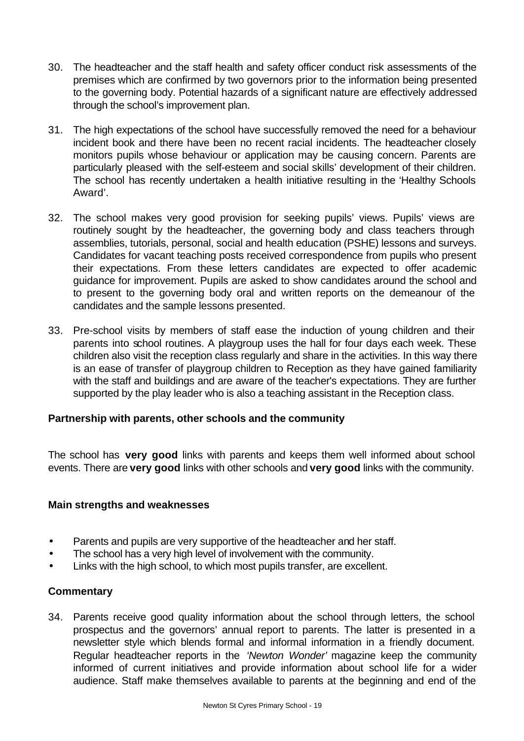- 30. The headteacher and the staff health and safety officer conduct risk assessments of the premises which are confirmed by two governors prior to the information being presented to the governing body. Potential hazards of a significant nature are effectively addressed through the school's improvement plan.
- 31. The high expectations of the school have successfully removed the need for a behaviour incident book and there have been no recent racial incidents. The headteacher closely monitors pupils whose behaviour or application may be causing concern. Parents are particularly pleased with the self-esteem and social skills' development of their children. The school has recently undertaken a health initiative resulting in the 'Healthy Schools Award'.
- 32. The school makes very good provision for seeking pupils' views. Pupils' views are routinely sought by the headteacher, the governing body and class teachers through assemblies, tutorials, personal, social and health education (PSHE) lessons and surveys. Candidates for vacant teaching posts received correspondence from pupils who present their expectations. From these letters candidates are expected to offer academic guidance for improvement. Pupils are asked to show candidates around the school and to present to the governing body oral and written reports on the demeanour of the candidates and the sample lessons presented.
- 33. Pre-school visits by members of staff ease the induction of young children and their parents into school routines. A playgroup uses the hall for four days each week. These children also visit the reception class regularly and share in the activities. In this way there is an ease of transfer of playgroup children to Reception as they have gained familiarity with the staff and buildings and are aware of the teacher's expectations. They are further supported by the play leader who is also a teaching assistant in the Reception class.

## **Partnership with parents, other schools and the community**

The school has **very good** links with parents and keeps them well informed about school events. There are **very good** links with other schools and **very good** links with the community.

## **Main strengths and weaknesses**

- Parents and pupils are very supportive of the headteacher and her staff.
- The school has a very high level of involvement with the community.
- Links with the high school, to which most pupils transfer, are excellent.

## **Commentary**

34. Parents receive good quality information about the school through letters, the school prospectus and the governors' annual report to parents. The latter is presented in a newsletter style which blends formal and informal information in a friendly document. Regular headteacher reports in the *'Newton Wonder'* magazine keep the community informed of current initiatives and provide information about school life for a wider audience. Staff make themselves available to parents at the beginning and end of the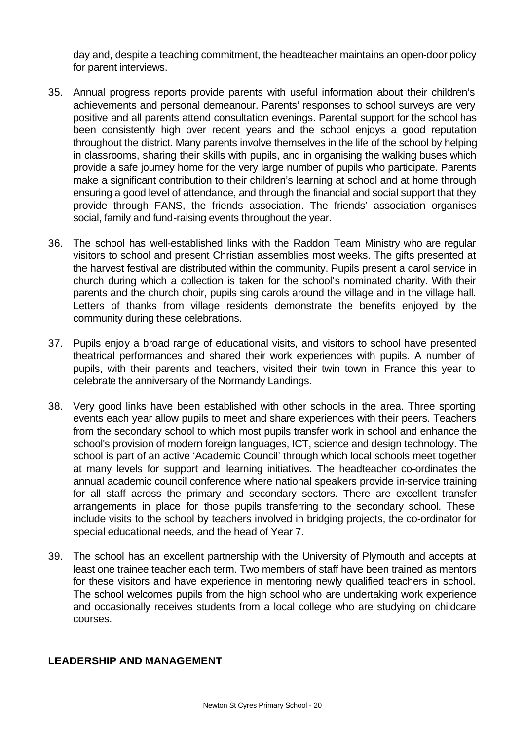day and, despite a teaching commitment, the headteacher maintains an open-door policy for parent interviews.

- 35. Annual progress reports provide parents with useful information about their children's achievements and personal demeanour. Parents' responses to school surveys are very positive and all parents attend consultation evenings. Parental support for the school has been consistently high over recent years and the school enjoys a good reputation throughout the district. Many parents involve themselves in the life of the school by helping in classrooms, sharing their skills with pupils, and in organising the walking buses which provide a safe journey home for the very large number of pupils who participate. Parents make a significant contribution to their children's learning at school and at home through ensuring a good level of attendance, and through the financial and social support that they provide through FANS, the friends association. The friends' association organises social, family and fund-raising events throughout the year.
- 36. The school has well-established links with the Raddon Team Ministry who are regular visitors to school and present Christian assemblies most weeks. The gifts presented at the harvest festival are distributed within the community. Pupils present a carol service in church during which a collection is taken for the school's nominated charity. With their parents and the church choir, pupils sing carols around the village and in the village hall. Letters of thanks from village residents demonstrate the benefits enjoyed by the community during these celebrations.
- 37. Pupils enjoy a broad range of educational visits, and visitors to school have presented theatrical performances and shared their work experiences with pupils. A number of pupils, with their parents and teachers, visited their twin town in France this year to celebrate the anniversary of the Normandy Landings.
- 38. Very good links have been established with other schools in the area. Three sporting events each year allow pupils to meet and share experiences with their peers. Teachers from the secondary school to which most pupils transfer work in school and enhance the school's provision of modern foreign languages, ICT, science and design technology. The school is part of an active 'Academic Council' through which local schools meet together at many levels for support and learning initiatives. The headteacher co-ordinates the annual academic council conference where national speakers provide in-service training for all staff across the primary and secondary sectors. There are excellent transfer arrangements in place for those pupils transferring to the secondary school. These include visits to the school by teachers involved in bridging projects, the co-ordinator for special educational needs, and the head of Year 7.
- 39. The school has an excellent partnership with the University of Plymouth and accepts at least one trainee teacher each term. Two members of staff have been trained as mentors for these visitors and have experience in mentoring newly qualified teachers in school. The school welcomes pupils from the high school who are undertaking work experience and occasionally receives students from a local college who are studying on childcare courses.

## **LEADERSHIP AND MANAGEMENT**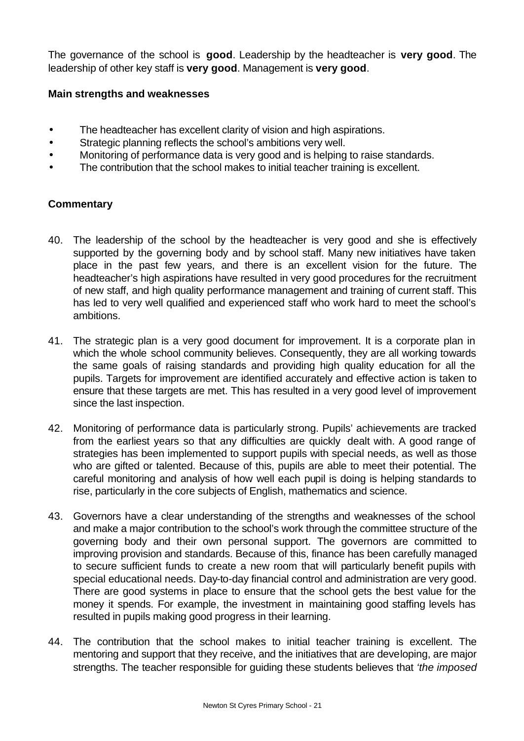The governance of the school is **good**. Leadership by the headteacher is **very good**. The leadership of other key staff is **very good**. Management is **very good**.

## **Main strengths and weaknesses**

- The headteacher has excellent clarity of vision and high aspirations.
- Strategic planning reflects the school's ambitions very well.
- Monitoring of performance data is very good and is helping to raise standards.
- The contribution that the school makes to initial teacher training is excellent.

## **Commentary**

- 40. The leadership of the school by the headteacher is very good and she is effectively supported by the governing body and by school staff. Many new initiatives have taken place in the past few years, and there is an excellent vision for the future. The headteacher's high aspirations have resulted in very good procedures for the recruitment of new staff, and high quality performance management and training of current staff. This has led to very well qualified and experienced staff who work hard to meet the school's ambitions.
- 41. The strategic plan is a very good document for improvement. It is a corporate plan in which the whole school community believes. Consequently, they are all working towards the same goals of raising standards and providing high quality education for all the pupils. Targets for improvement are identified accurately and effective action is taken to ensure that these targets are met. This has resulted in a very good level of improvement since the last inspection.
- 42. Monitoring of performance data is particularly strong. Pupils' achievements are tracked from the earliest years so that any difficulties are quickly dealt with. A good range of strategies has been implemented to support pupils with special needs, as well as those who are gifted or talented. Because of this, pupils are able to meet their potential. The careful monitoring and analysis of how well each pupil is doing is helping standards to rise, particularly in the core subjects of English, mathematics and science.
- 43. Governors have a clear understanding of the strengths and weaknesses of the school and make a major contribution to the school's work through the committee structure of the governing body and their own personal support. The governors are committed to improving provision and standards. Because of this, finance has been carefully managed to secure sufficient funds to create a new room that will particularly benefit pupils with special educational needs. Day-to-day financial control and administration are very good. There are good systems in place to ensure that the school gets the best value for the money it spends. For example, the investment in maintaining good staffing levels has resulted in pupils making good progress in their learning.
- 44. The contribution that the school makes to initial teacher training is excellent. The mentoring and support that they receive, and the initiatives that are developing, are major strengths. The teacher responsible for guiding these students believes that *'the imposed*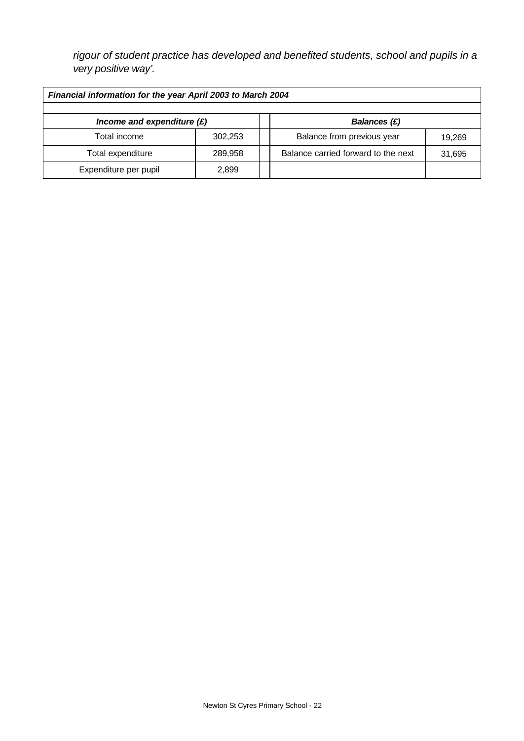*rigour of student practice has developed and benefited students, school and pupils in a very positive way'.*

| Financial information for the year April 2003 to March 2004 |         |  |                                     |        |  |
|-------------------------------------------------------------|---------|--|-------------------------------------|--------|--|
|                                                             |         |  |                                     |        |  |
| Income and expenditure $(E)$<br><b>Balances (£)</b>         |         |  |                                     |        |  |
| Total income                                                | 302,253 |  | Balance from previous year          | 19.269 |  |
| Total expenditure                                           | 289,958 |  | Balance carried forward to the next | 31,695 |  |
| Expenditure per pupil                                       | 2.899   |  |                                     |        |  |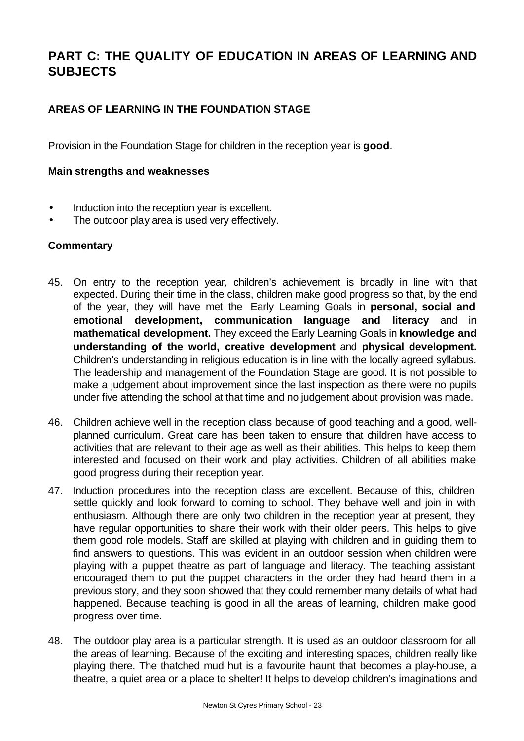## **PART C: THE QUALITY OF EDUCATION IN AREAS OF LEARNING AND SUBJECTS**

## **AREAS OF LEARNING IN THE FOUNDATION STAGE**

Provision in the Foundation Stage for children in the reception year is **good**.

## **Main strengths and weaknesses**

- Induction into the reception year is excellent.
- The outdoor play area is used very effectively.

## **Commentary**

- 45. On entry to the reception year, children's achievement is broadly in line with that expected. During their time in the class, children make good progress so that, by the end of the year, they will have met the Early Learning Goals in **personal, social and emotional development, communication language and literacy** and in **mathematical development.** They exceed the Early Learning Goals in **knowledge and understanding of the world, creative development** and **physical development.**  Children's understanding in religious education is in line with the locally agreed syllabus. The leadership and management of the Foundation Stage are good. It is not possible to make a judgement about improvement since the last inspection as there were no pupils under five attending the school at that time and no judgement about provision was made.
- 46. Children achieve well in the reception class because of good teaching and a good, wellplanned curriculum. Great care has been taken to ensure that children have access to activities that are relevant to their age as well as their abilities. This helps to keep them interested and focused on their work and play activities. Children of all abilities make good progress during their reception year.
- 47. Induction procedures into the reception class are excellent. Because of this, children settle quickly and look forward to coming to school. They behave well and join in with enthusiasm. Although there are only two children in the reception year at present, they have regular opportunities to share their work with their older peers. This helps to give them good role models. Staff are skilled at playing with children and in guiding them to find answers to questions. This was evident in an outdoor session when children were playing with a puppet theatre as part of language and literacy. The teaching assistant encouraged them to put the puppet characters in the order they had heard them in a previous story, and they soon showed that they could remember many details of what had happened. Because teaching is good in all the areas of learning, children make good progress over time.
- 48. The outdoor play area is a particular strength. It is used as an outdoor classroom for all the areas of learning. Because of the exciting and interesting spaces, children really like playing there. The thatched mud hut is a favourite haunt that becomes a play-house, a theatre, a quiet area or a place to shelter! It helps to develop children's imaginations and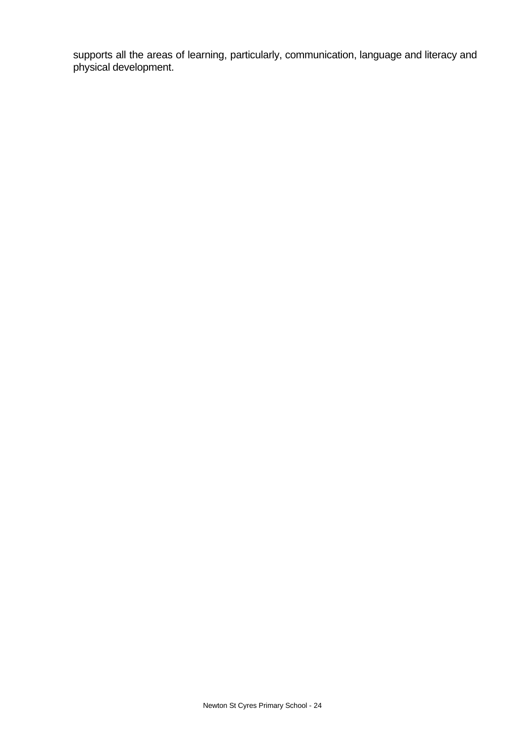supports all the areas of learning, particularly, communication, language and literacy and physical development.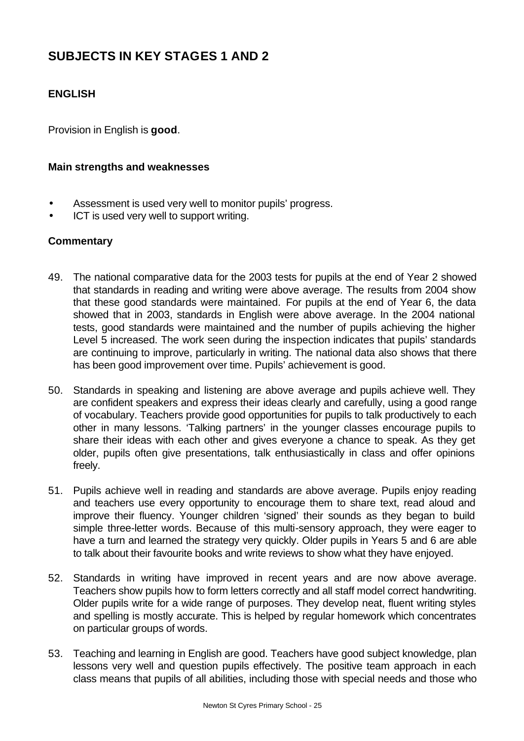# **SUBJECTS IN KEY STAGES 1 AND 2**

## **ENGLISH**

Provision in English is **good**.

#### **Main strengths and weaknesses**

- Assessment is used very well to monitor pupils' progress.
- ICT is used very well to support writing.

## **Commentary**

- 49. The national comparative data for the 2003 tests for pupils at the end of Year 2 showed that standards in reading and writing were above average. The results from 2004 show that these good standards were maintained. For pupils at the end of Year 6, the data showed that in 2003, standards in English were above average. In the 2004 national tests, good standards were maintained and the number of pupils achieving the higher Level 5 increased. The work seen during the inspection indicates that pupils' standards are continuing to improve, particularly in writing. The national data also shows that there has been good improvement over time. Pupils' achievement is good.
- 50. Standards in speaking and listening are above average and pupils achieve well. They are confident speakers and express their ideas clearly and carefully, using a good range of vocabulary. Teachers provide good opportunities for pupils to talk productively to each other in many lessons. 'Talking partners' in the younger classes encourage pupils to share their ideas with each other and gives everyone a chance to speak. As they get older, pupils often give presentations, talk enthusiastically in class and offer opinions freely.
- 51. Pupils achieve well in reading and standards are above average. Pupils enjoy reading and teachers use every opportunity to encourage them to share text, read aloud and improve their fluency. Younger children 'signed' their sounds as they began to build simple three-letter words. Because of this multi-sensory approach, they were eager to have a turn and learned the strategy very quickly. Older pupils in Years 5 and 6 are able to talk about their favourite books and write reviews to show what they have enjoyed.
- 52. Standards in writing have improved in recent years and are now above average. Teachers show pupils how to form letters correctly and all staff model correct handwriting. Older pupils write for a wide range of purposes. They develop neat, fluent writing styles and spelling is mostly accurate. This is helped by regular homework which concentrates on particular groups of words.
- 53. Teaching and learning in English are good. Teachers have good subject knowledge, plan lessons very well and question pupils effectively. The positive team approach in each class means that pupils of all abilities, including those with special needs and those who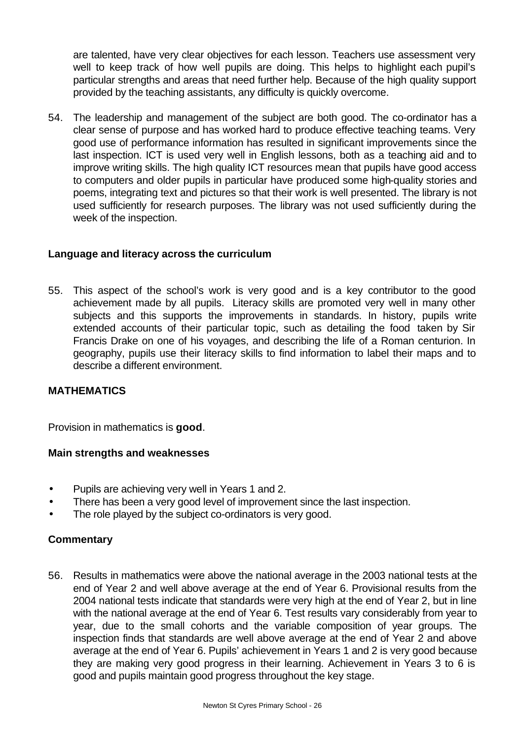are talented, have very clear objectives for each lesson. Teachers use assessment very well to keep track of how well pupils are doing. This helps to highlight each pupil's particular strengths and areas that need further help. Because of the high quality support provided by the teaching assistants, any difficulty is quickly overcome.

54. The leadership and management of the subject are both good. The co-ordinator has a clear sense of purpose and has worked hard to produce effective teaching teams. Very good use of performance information has resulted in significant improvements since the last inspection. ICT is used very well in English lessons, both as a teaching aid and to improve writing skills. The high quality ICT resources mean that pupils have good access to computers and older pupils in particular have produced some high-quality stories and poems, integrating text and pictures so that their work is well presented. The library is not used sufficiently for research purposes. The library was not used sufficiently during the week of the inspection.

## **Language and literacy across the curriculum**

55. This aspect of the school's work is very good and is a key contributor to the good achievement made by all pupils. Literacy skills are promoted very well in many other subjects and this supports the improvements in standards. In history, pupils write extended accounts of their particular topic, such as detailing the food taken by Sir Francis Drake on one of his voyages, and describing the life of a Roman centurion. In geography, pupils use their literacy skills to find information to label their maps and to describe a different environment.

## **MATHEMATICS**

Provision in mathematics is **good**.

#### **Main strengths and weaknesses**

- Pupils are achieving very well in Years 1 and 2.
- There has been a very good level of improvement since the last inspection.
- The role played by the subject co-ordinators is very good.

## **Commentary**

56. Results in mathematics were above the national average in the 2003 national tests at the end of Year 2 and well above average at the end of Year 6. Provisional results from the 2004 national tests indicate that standards were very high at the end of Year 2, but in line with the national average at the end of Year 6. Test results vary considerably from year to year, due to the small cohorts and the variable composition of year groups. The inspection finds that standards are well above average at the end of Year 2 and above average at the end of Year 6. Pupils' achievement in Years 1 and 2 is very good because they are making very good progress in their learning. Achievement in Years 3 to 6 is good and pupils maintain good progress throughout the key stage.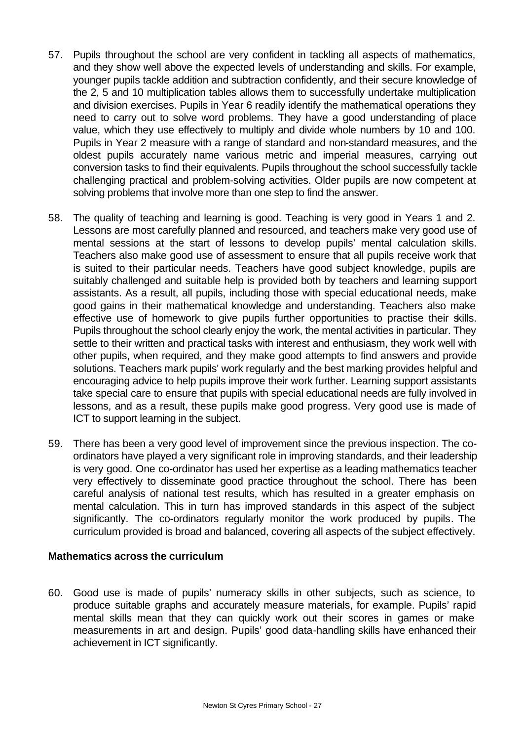- 57. Pupils throughout the school are very confident in tackling all aspects of mathematics, and they show well above the expected levels of understanding and skills. For example, younger pupils tackle addition and subtraction confidently, and their secure knowledge of the 2, 5 and 10 multiplication tables allows them to successfully undertake multiplication and division exercises. Pupils in Year 6 readily identify the mathematical operations they need to carry out to solve word problems. They have a good understanding of place value, which they use effectively to multiply and divide whole numbers by 10 and 100. Pupils in Year 2 measure with a range of standard and non-standard measures, and the oldest pupils accurately name various metric and imperial measures, carrying out conversion tasks to find their equivalents. Pupils throughout the school successfully tackle challenging practical and problem-solving activities. Older pupils are now competent at solving problems that involve more than one step to find the answer.
- 58. The quality of teaching and learning is good. Teaching is very good in Years 1 and 2. Lessons are most carefully planned and resourced, and teachers make very good use of mental sessions at the start of lessons to develop pupils' mental calculation skills. Teachers also make good use of assessment to ensure that all pupils receive work that is suited to their particular needs. Teachers have good subject knowledge, pupils are suitably challenged and suitable help is provided both by teachers and learning support assistants. As a result, all pupils, including those with special educational needs, make good gains in their mathematical knowledge and understanding. Teachers also make effective use of homework to give pupils further opportunities to practise their skills. Pupils throughout the school clearly enjoy the work, the mental activities in particular. They settle to their written and practical tasks with interest and enthusiasm, they work well with other pupils, when required, and they make good attempts to find answers and provide solutions. Teachers mark pupils' work regularly and the best marking provides helpful and encouraging advice to help pupils improve their work further. Learning support assistants take special care to ensure that pupils with special educational needs are fully involved in lessons, and as a result, these pupils make good progress. Very good use is made of ICT to support learning in the subject.
- 59. There has been a very good level of improvement since the previous inspection. The coordinators have played a very significant role in improving standards, and their leadership is very good. One co-ordinator has used her expertise as a leading mathematics teacher very effectively to disseminate good practice throughout the school. There has been careful analysis of national test results, which has resulted in a greater emphasis on mental calculation. This in turn has improved standards in this aspect of the subject significantly. The co-ordinators regularly monitor the work produced by pupils. The curriculum provided is broad and balanced, covering all aspects of the subject effectively.

## **Mathematics across the curriculum**

60. Good use is made of pupils' numeracy skills in other subjects, such as science, to produce suitable graphs and accurately measure materials, for example. Pupils' rapid mental skills mean that they can quickly work out their scores in games or make measurements in art and design. Pupils' good data-handling skills have enhanced their achievement in ICT significantly.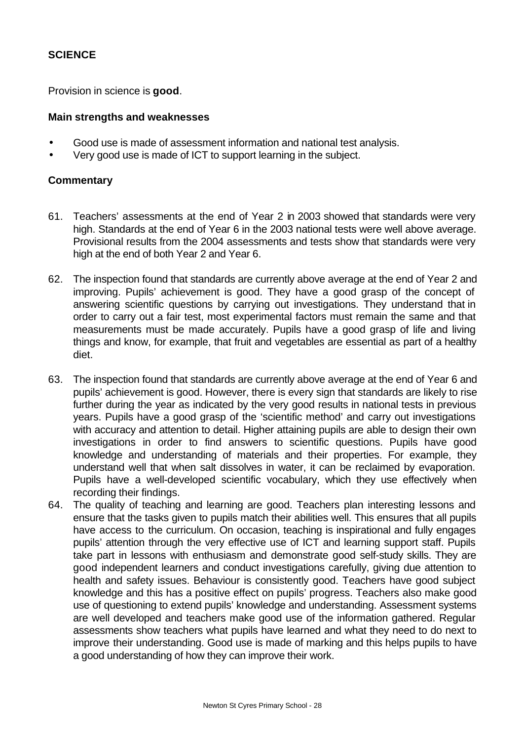## **SCIENCE**

Provision in science is **good**.

#### **Main strengths and weaknesses**

- Good use is made of assessment information and national test analysis.
- Very good use is made of ICT to support learning in the subject.

#### **Commentary**

- 61. Teachers' assessments at the end of Year 2 in 2003 showed that standards were very high. Standards at the end of Year 6 in the 2003 national tests were well above average. Provisional results from the 2004 assessments and tests show that standards were very high at the end of both Year 2 and Year 6.
- 62. The inspection found that standards are currently above average at the end of Year 2 and improving. Pupils' achievement is good. They have a good grasp of the concept of answering scientific questions by carrying out investigations. They understand that in order to carry out a fair test, most experimental factors must remain the same and that measurements must be made accurately. Pupils have a good grasp of life and living things and know, for example, that fruit and vegetables are essential as part of a healthy diet.
- 63. The inspection found that standards are currently above average at the end of Year 6 and pupils' achievement is good. However, there is every sign that standards are likely to rise further during the year as indicated by the very good results in national tests in previous years. Pupils have a good grasp of the 'scientific method' and carry out investigations with accuracy and attention to detail. Higher attaining pupils are able to design their own investigations in order to find answers to scientific questions. Pupils have good knowledge and understanding of materials and their properties. For example, they understand well that when salt dissolves in water, it can be reclaimed by evaporation. Pupils have a well-developed scientific vocabulary, which they use effectively when recording their findings.
- 64. The quality of teaching and learning are good. Teachers plan interesting lessons and ensure that the tasks given to pupils match their abilities well. This ensures that all pupils have access to the curriculum. On occasion, teaching is inspirational and fully engages pupils' attention through the very effective use of ICT and learning support staff. Pupils take part in lessons with enthusiasm and demonstrate good self-study skills. They are good independent learners and conduct investigations carefully, giving due attention to health and safety issues. Behaviour is consistently good. Teachers have good subject knowledge and this has a positive effect on pupils' progress. Teachers also make good use of questioning to extend pupils' knowledge and understanding. Assessment systems are well developed and teachers make good use of the information gathered. Regular assessments show teachers what pupils have learned and what they need to do next to improve their understanding. Good use is made of marking and this helps pupils to have a good understanding of how they can improve their work.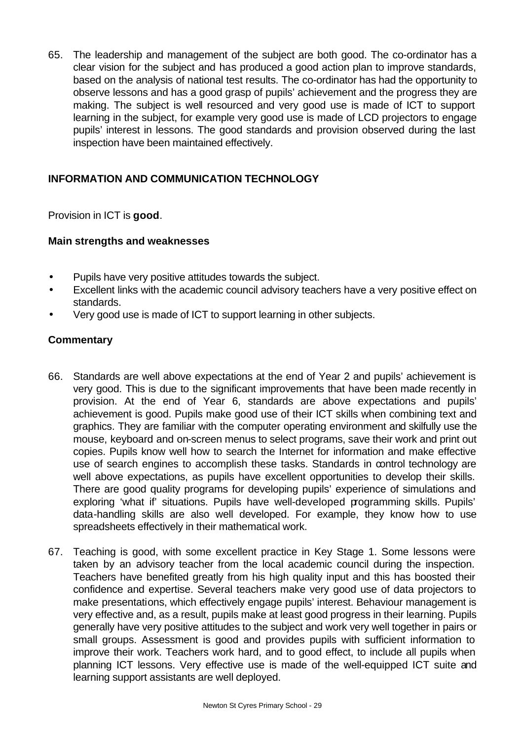65. The leadership and management of the subject are both good. The co-ordinator has a clear vision for the subject and has produced a good action plan to improve standards, based on the analysis of national test results. The co-ordinator has had the opportunity to observe lessons and has a good grasp of pupils' achievement and the progress they are making. The subject is well resourced and very good use is made of ICT to support learning in the subject, for example very good use is made of LCD projectors to engage pupils' interest in lessons. The good standards and provision observed during the last inspection have been maintained effectively.

## **INFORMATION AND COMMUNICATION TECHNOLOGY**

Provision in ICT is **good**.

## **Main strengths and weaknesses**

- Pupils have very positive attitudes towards the subject.
- Excellent links with the academic council advisory teachers have a very positive effect on standards.
- Very good use is made of ICT to support learning in other subjects.

## **Commentary**

- 66. Standards are well above expectations at the end of Year 2 and pupils' achievement is very good. This is due to the significant improvements that have been made recently in provision. At the end of Year 6, standards are above expectations and pupils' achievement is good. Pupils make good use of their ICT skills when combining text and graphics. They are familiar with the computer operating environment and skilfully use the mouse, keyboard and on-screen menus to select programs, save their work and print out copies. Pupils know well how to search the Internet for information and make effective use of search engines to accomplish these tasks. Standards in control technology are well above expectations, as pupils have excellent opportunities to develop their skills. There are good quality programs for developing pupils' experience of simulations and exploring 'what if' situations. Pupils have well-developed programming skills. Pupils' data-handling skills are also well developed. For example, they know how to use spreadsheets effectively in their mathematical work.
- 67. Teaching is good, with some excellent practice in Key Stage 1. Some lessons were taken by an advisory teacher from the local academic council during the inspection. Teachers have benefited greatly from his high quality input and this has boosted their confidence and expertise. Several teachers make very good use of data projectors to make presentations, which effectively engage pupils' interest. Behaviour management is very effective and, as a result, pupils make at least good progress in their learning. Pupils generally have very positive attitudes to the subject and work very well together in pairs or small groups. Assessment is good and provides pupils with sufficient information to improve their work. Teachers work hard, and to good effect, to include all pupils when planning ICT lessons. Very effective use is made of the well-equipped ICT suite and learning support assistants are well deployed.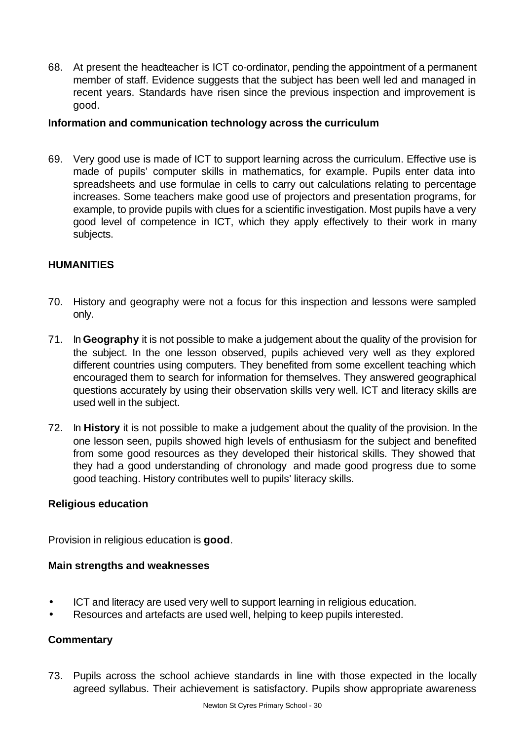68. At present the headteacher is ICT co-ordinator, pending the appointment of a permanent member of staff. Evidence suggests that the subject has been well led and managed in recent years. Standards have risen since the previous inspection and improvement is good.

#### **Information and communication technology across the curriculum**

69. Very good use is made of ICT to support learning across the curriculum. Effective use is made of pupils' computer skills in mathematics, for example. Pupils enter data into spreadsheets and use formulae in cells to carry out calculations relating to percentage increases. Some teachers make good use of projectors and presentation programs, for example, to provide pupils with clues for a scientific investigation. Most pupils have a very good level of competence in ICT, which they apply effectively to their work in many subjects.

## **HUMANITIES**

- 70. History and geography were not a focus for this inspection and lessons were sampled only.
- 71. In **Geography** it is not possible to make a judgement about the quality of the provision for the subject. In the one lesson observed, pupils achieved very well as they explored different countries using computers. They benefited from some excellent teaching which encouraged them to search for information for themselves. They answered geographical questions accurately by using their observation skills very well. ICT and literacy skills are used well in the subject.
- 72. In **History** it is not possible to make a judgement about the quality of the provision. In the one lesson seen, pupils showed high levels of enthusiasm for the subject and benefited from some good resources as they developed their historical skills. They showed that they had a good understanding of chronology and made good progress due to some good teaching. History contributes well to pupils' literacy skills.

## **Religious education**

Provision in religious education is **good**.

#### **Main strengths and weaknesses**

- ICT and literacy are used very well to support learning in religious education.
- Resources and artefacts are used well, helping to keep pupils interested.

## **Commentary**

73. Pupils across the school achieve standards in line with those expected in the locally agreed syllabus. Their achievement is satisfactory. Pupils show appropriate awareness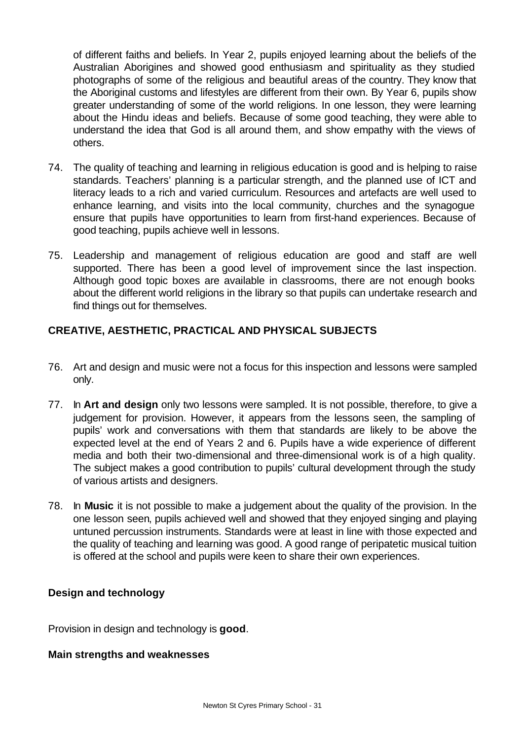of different faiths and beliefs. In Year 2, pupils enjoyed learning about the beliefs of the Australian Aborigines and showed good enthusiasm and spirituality as they studied photographs of some of the religious and beautiful areas of the country. They know that the Aboriginal customs and lifestyles are different from their own. By Year 6, pupils show greater understanding of some of the world religions. In one lesson, they were learning about the Hindu ideas and beliefs. Because of some good teaching, they were able to understand the idea that God is all around them, and show empathy with the views of others.

- 74. The quality of teaching and learning in religious education is good and is helping to raise standards. Teachers' planning is a particular strength, and the planned use of ICT and literacy leads to a rich and varied curriculum. Resources and artefacts are well used to enhance learning, and visits into the local community, churches and the synagogue ensure that pupils have opportunities to learn from first-hand experiences. Because of good teaching, pupils achieve well in lessons.
- 75. Leadership and management of religious education are good and staff are well supported. There has been a good level of improvement since the last inspection. Although good topic boxes are available in classrooms, there are not enough books about the different world religions in the library so that pupils can undertake research and find things out for themselves.

## **CREATIVE, AESTHETIC, PRACTICAL AND PHYSICAL SUBJECTS**

- 76. Art and design and music were not a focus for this inspection and lessons were sampled only.
- 77. In **Art and design** only two lessons were sampled. It is not possible, therefore, to give a judgement for provision. However, it appears from the lessons seen, the sampling of pupils' work and conversations with them that standards are likely to be above the expected level at the end of Years 2 and 6. Pupils have a wide experience of different media and both their two-dimensional and three-dimensional work is of a high quality. The subject makes a good contribution to pupils' cultural development through the study of various artists and designers.
- 78. In **Music** it is not possible to make a judgement about the quality of the provision. In the one lesson seen, pupils achieved well and showed that they enjoyed singing and playing untuned percussion instruments. Standards were at least in line with those expected and the quality of teaching and learning was good. A good range of peripatetic musical tuition is offered at the school and pupils were keen to share their own experiences.

## **Design and technology**

Provision in design and technology is **good**.

## **Main strengths and weaknesses**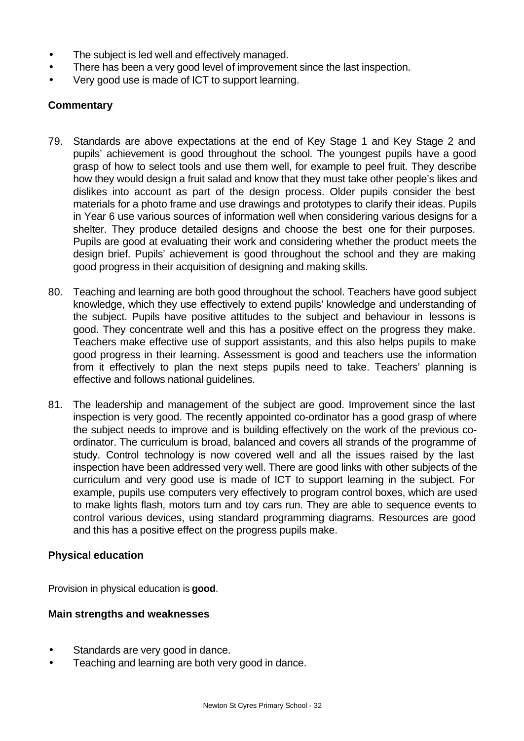- The subject is led well and effectively managed.
- There has been a very good level of improvement since the last inspection.
- Very good use is made of ICT to support learning.

## **Commentary**

- 79. Standards are above expectations at the end of Key Stage 1 and Key Stage 2 and pupils' achievement is good throughout the school. The youngest pupils have a good grasp of how to select tools and use them well, for example to peel fruit. They describe how they would design a fruit salad and know that they must take other people's likes and dislikes into account as part of the design process. Older pupils consider the best materials for a photo frame and use drawings and prototypes to clarify their ideas. Pupils in Year 6 use various sources of information well when considering various designs for a shelter. They produce detailed designs and choose the best one for their purposes. Pupils are good at evaluating their work and considering whether the product meets the design brief. Pupils' achievement is good throughout the school and they are making good progress in their acquisition of designing and making skills.
- 80. Teaching and learning are both good throughout the school. Teachers have good subject knowledge, which they use effectively to extend pupils' knowledge and understanding of the subject. Pupils have positive attitudes to the subject and behaviour in lessons is good. They concentrate well and this has a positive effect on the progress they make. Teachers make effective use of support assistants, and this also helps pupils to make good progress in their learning. Assessment is good and teachers use the information from it effectively to plan the next steps pupils need to take. Teachers' planning is effective and follows national guidelines.
- 81. The leadership and management of the subject are good. Improvement since the last inspection is very good. The recently appointed co-ordinator has a good grasp of where the subject needs to improve and is building effectively on the work of the previous coordinator. The curriculum is broad, balanced and covers all strands of the programme of study. Control technology is now covered well and all the issues raised by the last inspection have been addressed very well. There are good links with other subjects of the curriculum and very good use is made of ICT to support learning in the subject. For example, pupils use computers very effectively to program control boxes, which are used to make lights flash, motors turn and toy cars run. They are able to sequence events to control various devices, using standard programming diagrams. Resources are good and this has a positive effect on the progress pupils make.

## **Physical education**

Provision in physical education is **good**.

## **Main strengths and weaknesses**

- Standards are very good in dance.
- Teaching and learning are both very good in dance.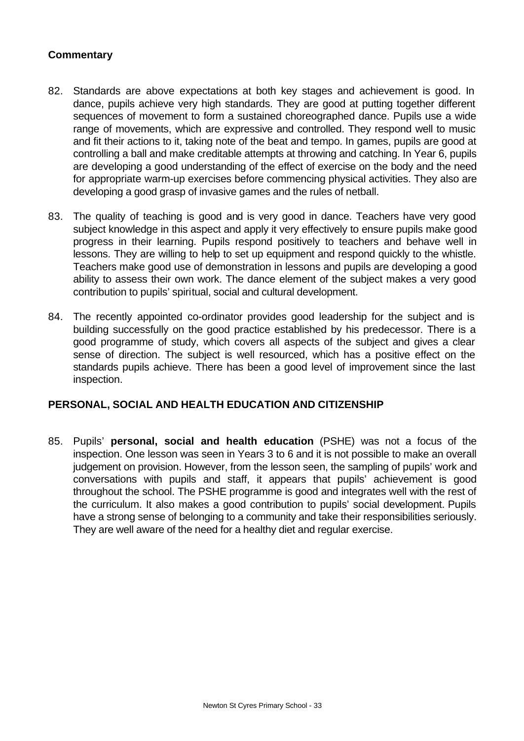## **Commentary**

- 82. Standards are above expectations at both key stages and achievement is good. In dance, pupils achieve very high standards. They are good at putting together different sequences of movement to form a sustained choreographed dance. Pupils use a wide range of movements, which are expressive and controlled. They respond well to music and fit their actions to it, taking note of the beat and tempo. In games, pupils are good at controlling a ball and make creditable attempts at throwing and catching. In Year 6, pupils are developing a good understanding of the effect of exercise on the body and the need for appropriate warm-up exercises before commencing physical activities. They also are developing a good grasp of invasive games and the rules of netball.
- 83. The quality of teaching is good and is very good in dance. Teachers have very good subject knowledge in this aspect and apply it very effectively to ensure pupils make good progress in their learning. Pupils respond positively to teachers and behave well in lessons. They are willing to help to set up equipment and respond quickly to the whistle. Teachers make good use of demonstration in lessons and pupils are developing a good ability to assess their own work. The dance element of the subject makes a very good contribution to pupils' spiritual, social and cultural development.
- 84. The recently appointed co-ordinator provides good leadership for the subject and is building successfully on the good practice established by his predecessor. There is a good programme of study, which covers all aspects of the subject and gives a clear sense of direction. The subject is well resourced, which has a positive effect on the standards pupils achieve. There has been a good level of improvement since the last inspection.

## **PERSONAL, SOCIAL AND HEALTH EDUCATION AND CITIZENSHIP**

85. Pupils' **personal, social and health education** (PSHE) was not a focus of the inspection. One lesson was seen in Years 3 to 6 and it is not possible to make an overall judgement on provision. However, from the lesson seen, the sampling of pupils' work and conversations with pupils and staff, it appears that pupils' achievement is good throughout the school. The PSHE programme is good and integrates well with the rest of the curriculum. It also makes a good contribution to pupils' social development. Pupils have a strong sense of belonging to a community and take their responsibilities seriously. They are well aware of the need for a healthy diet and regular exercise.